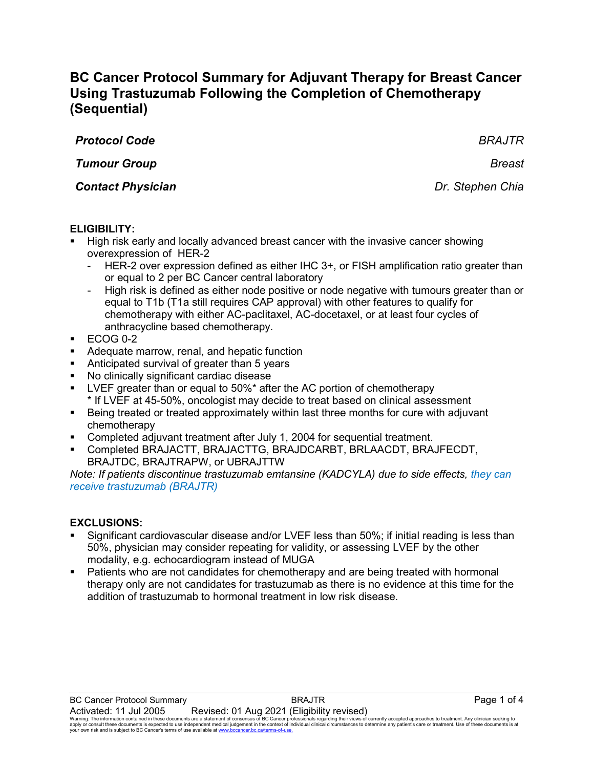# **BC Cancer Protocol Summary for Adjuvant Therapy for Breast Cancer Using Trastuzumab Following the Completion of Chemotherapy (Sequential)**

| <b>Protocol Code</b>     | <b>BRAJTR</b>    |
|--------------------------|------------------|
| <b>Tumour Group</b>      | <b>Breast</b>    |
| <b>Contact Physician</b> | Dr. Stephen Chia |
|                          |                  |

# **ELIGIBILITY:**

- High risk early and locally advanced breast cancer with the invasive cancer showing overexpression of HER-2
	- HER-2 over expression defined as either IHC 3+, or FISH amplification ratio greater than or equal to 2 per BC Cancer central laboratory
	- High risk is defined as either node positive or node negative with tumours greater than or equal to T1b (T1a still requires CAP approval) with other features to qualify for chemotherapy with either AC-paclitaxel, AC-docetaxel, or at least four cycles of anthracycline based chemotherapy.
- $\textdegree$  ECOG 0-2
- **Adequate marrow, renal, and hepatic function**
- Anticipated survival of greater than 5 years
- No clinically significant cardiac disease
- LVEF greater than or equal to 50%\* after the AC portion of chemotherapy \* If LVEF at 45-50%, oncologist may decide to treat based on clinical assessment
- **Being treated or treated approximately within last three months for cure with adjuvant** chemotherapy
- Completed adjuvant treatment after July 1, 2004 for sequential treatment.
- Completed BRAJACTT, BRAJACTTG, BRAJDCARBT, BRLAACDT, BRAJFECDT, BRAJTDC, BRAJTRAPW, or UBRAJTTW

*Note: If patients discontinue trastuzumab emtansine (KADCYLA) due to side effects, they can receive trastuzumab (BRAJTR)* 

### **EXCLUSIONS:**

- Significant cardiovascular disease and/or LVEF less than 50%; if initial reading is less than 50%, physician may consider repeating for validity, or assessing LVEF by the other modality, e.g. echocardiogram instead of MUGA
- Patients who are not candidates for chemotherapy and are being treated with hormonal therapy only are not candidates for trastuzumab as there is no evidence at this time for the addition of trastuzumab to hormonal treatment in low risk disease.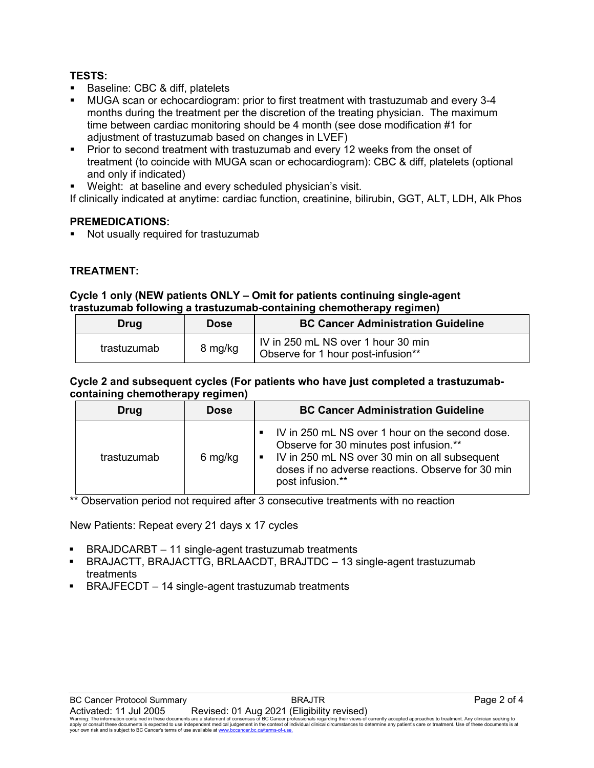# **TESTS:**

- **Baseline: CBC & diff, platelets**
- MUGA scan or echocardiogram: prior to first treatment with trastuzumab and every 3-4 months during the treatment per the discretion of the treating physician. The maximum time between cardiac monitoring should be 4 month (see dose modification #1 for adjustment of trastuzumab based on changes in LVEF)
- **Prior to second treatment with trastuzumab and every 12 weeks from the onset of** treatment (to coincide with MUGA scan or echocardiogram): CBC & diff, platelets (optional and only if indicated)
- Weight: at baseline and every scheduled physician's visit.

If clinically indicated at anytime: cardiac function, creatinine, bilirubin, GGT, ALT, LDH, Alk Phos

# **PREMEDICATIONS:**

Not usually required for trastuzumab

# **TREATMENT:**

### **Cycle 1 only (NEW patients ONLY – Omit for patients continuing single-agent trastuzumab following a trastuzumab-containing chemotherapy regimen)**

| Drug        | <b>Dose</b> | <b>BC Cancer Administration Guideline</b>                                |  |
|-------------|-------------|--------------------------------------------------------------------------|--|
| trastuzumab | 8 mg/kg     | IV in 250 mL NS over 1 hour 30 min<br>Observe for 1 hour post-infusion** |  |

#### **Cycle 2 and subsequent cycles (For patients who have just completed a trastuzumabcontaining chemotherapy regimen)**

| Drug        | <b>Dose</b> | <b>BC Cancer Administration Guideline</b>                                                                                                                                                                              |
|-------------|-------------|------------------------------------------------------------------------------------------------------------------------------------------------------------------------------------------------------------------------|
| trastuzumab | 6 mg/kg     | IV in 250 mL NS over 1 hour on the second dose.<br>Observe for 30 minutes post infusion.**<br>• IV in 250 mL NS over 30 min on all subsequent<br>doses if no adverse reactions. Observe for 30 min<br>post infusion.** |

\*\* Observation period not required after 3 consecutive treatments with no reaction

New Patients: Repeat every 21 days x 17 cycles

- BRAJDCARBT 11 single-agent trastuzumab treatments
- BRAJACTT, BRAJACTTG, BRLAACDT, BRAJTDC 13 single-agent trastuzumab treatments
- <span id="page-1-0"></span>BRAJFECDT – 14 single-agent trastuzumab treatments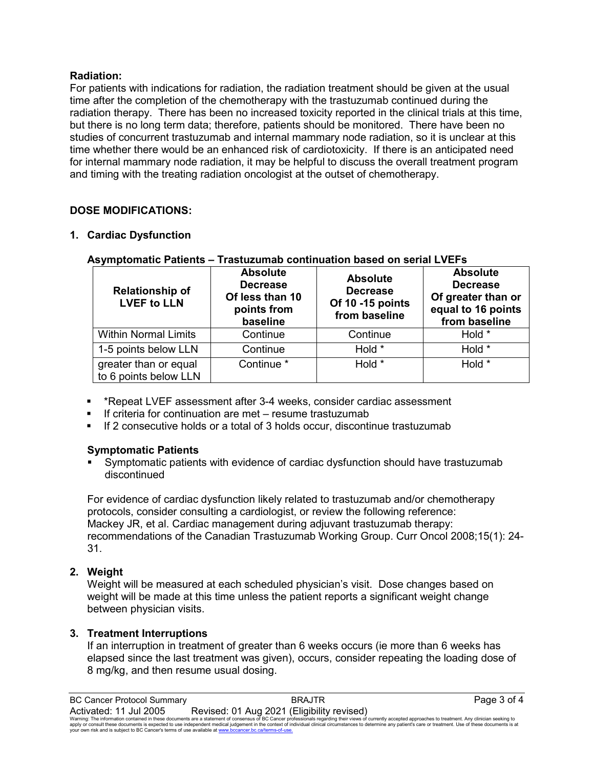# **Radiation:**

For patients with indications for radiation, the radiation treatment should be given at the usual time after the completion of the chemotherapy with the trastuzumab continued during the radiation therapy. There has been no increased toxicity reported in the clinical trials at this time, but there is no long term data; therefore, patients should be monitored. There have been no studies of concurrent trastuzumab and internal mammary node radiation, so it is unclear at this time whether there would be an enhanced risk of cardiotoxicity. If there is an anticipated need for internal mammary node radiation, it may be helpful to discuss the overall treatment program and timing with the treating radiation oncologist at the outset of chemotherapy.

# **DOSE MODIFICATIONS:**

# **1. Cardiac Dysfunction**

| <b>Relationship of</b><br><b>LVEF to LLN</b>   | <b>Absolute</b><br><b>Decrease</b><br>Of less than 10<br>points from<br>baseline | <b>Absolute</b><br><b>Decrease</b><br>Of 10 -15 points<br>from baseline | <b>Absolute</b><br><b>Decrease</b><br>Of greater than or<br>equal to 16 points<br>from baseline |
|------------------------------------------------|----------------------------------------------------------------------------------|-------------------------------------------------------------------------|-------------------------------------------------------------------------------------------------|
| <b>Within Normal Limits</b>                    | Continue                                                                         | Continue                                                                | Hold *                                                                                          |
| 1-5 points below LLN                           | Continue                                                                         | Hold *                                                                  | Hold *                                                                                          |
| greater than or equal<br>to 6 points below LLN | Continue <sup>*</sup>                                                            | Hold *                                                                  | Hold *                                                                                          |

### **Asymptomatic Patients – Trastuzumab continuation based on serial LVEFs**

- \*Repeat LVEF assessment after 3-4 weeks, consider cardiac assessment
- If criteria for continuation are met resume trastuzumab
- If 2 consecutive holds or a total of 3 holds occur, discontinue trastuzumab

# **Symptomatic Patients**

 Symptomatic patients with evidence of cardiac dysfunction should have trastuzumab discontinued

For evidence of cardiac dysfunction likely related to trastuzumab and/or chemotherapy protocols, consider consulting a cardiologist, or review the following reference: Mackey JR, et al. Cardiac management during adjuvant trastuzumab therapy: recommendations of the Canadian Trastuzumab Working Group. Curr Oncol 2008;15(1): 24- 31.

# **2. Weight**

Weight will be measured at each scheduled physician's visit. Dose changes based on weight will be made at this time unless the patient reports a significant weight change between physician visits.

# **3. Treatment Interruptions**

If an interruption in treatment of greater than 6 weeks occurs (ie more than 6 weeks has elapsed since the last treatment was given), occurs, consider repeating the loading dose of 8 mg/kg, and then resume usual dosing.